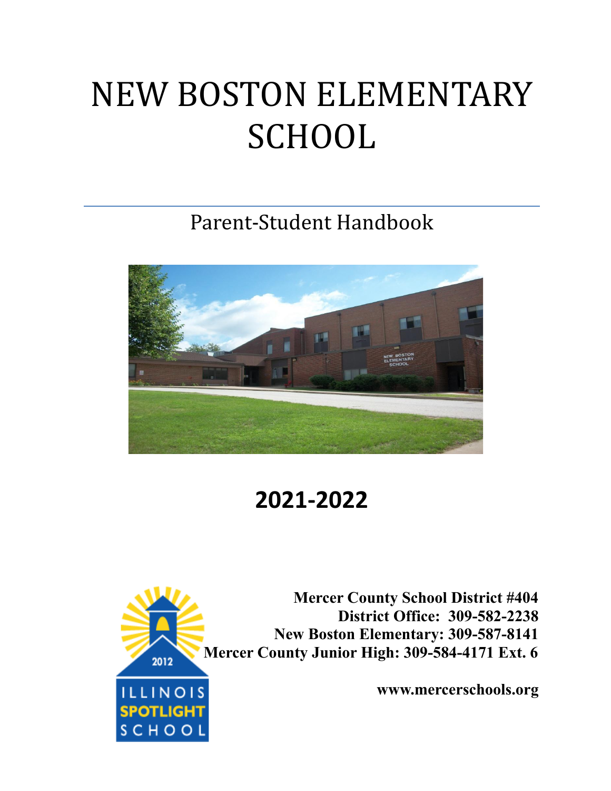# NEW BOSTON ELEMENTARY **SCHOOL**

Parent-Student Handbook



**2021-2022**



**Mercer County School District #404 District Office: 309-582-2238 New Boston Elementary: 309-587-8141 Mercer County Junior High: 309-584-4171 Ext. 6**

**www.mercerschools.org**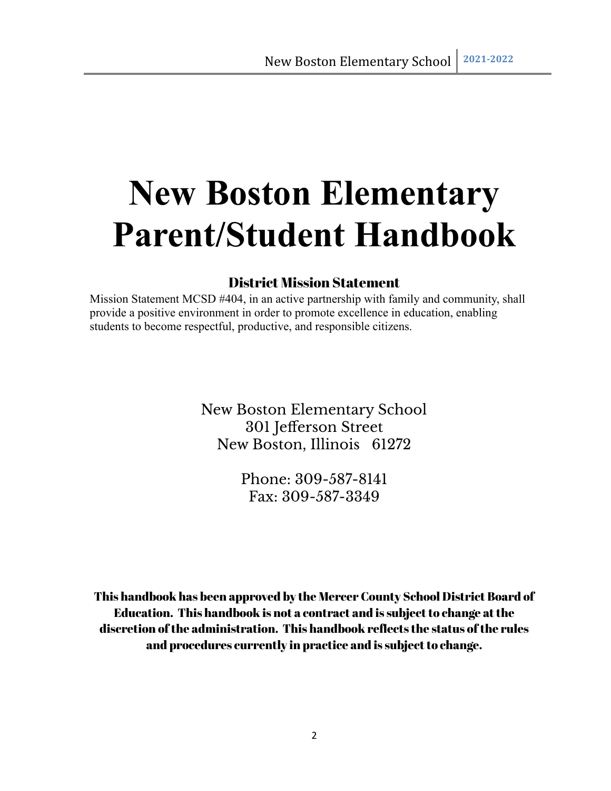## **New Boston Elementary Parent/Student Handbook**

#### District Mission Statement

Mission Statement MCSD #404, in an active partnership with family and community, shall provide a positive environment in order to promote excellence in education, enabling students to become respectful, productive, and responsible citizens.

> New Boston Elementary School 301 Jefferson Street New Boston, Illinois 61272

> > Phone: 309-587-8141 Fax: 309-587-3349

This handbook has been approved by the Mercer County School District Board of Education. This handbook is not a contract and is subjectto change atthe discretion ofthe administration. This handbook reflects the status ofthe rules and procedures currently in practice and is subject to change.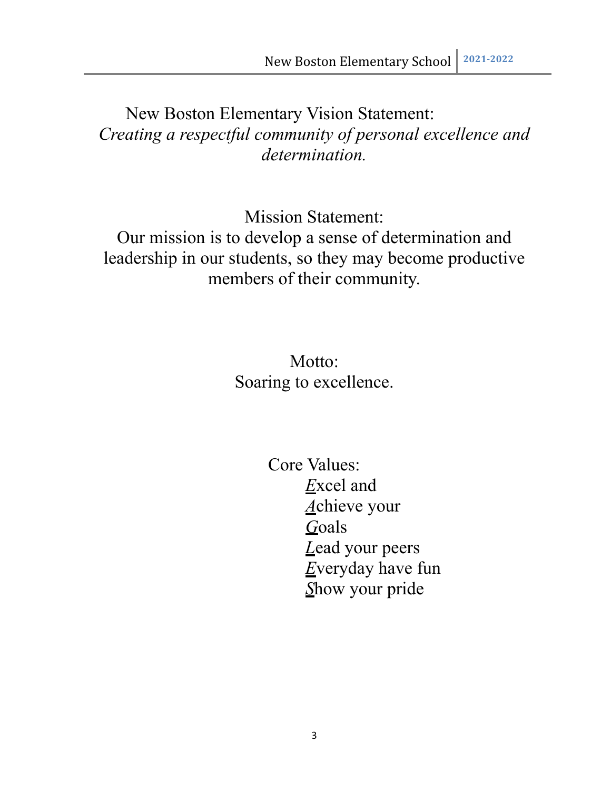## New Boston Elementary Vision Statement: *Creating a respectful community of personal excellence and determination.*

Mission Statement:

Our mission is to develop a sense of determination and leadership in our students, so they may become productive members of their community.

> Motto: Soaring to excellence.

> > Core Values: *E*xcel and *A*chieve your *G*oals *L*ead your peers *E*veryday have fun *S*how your pride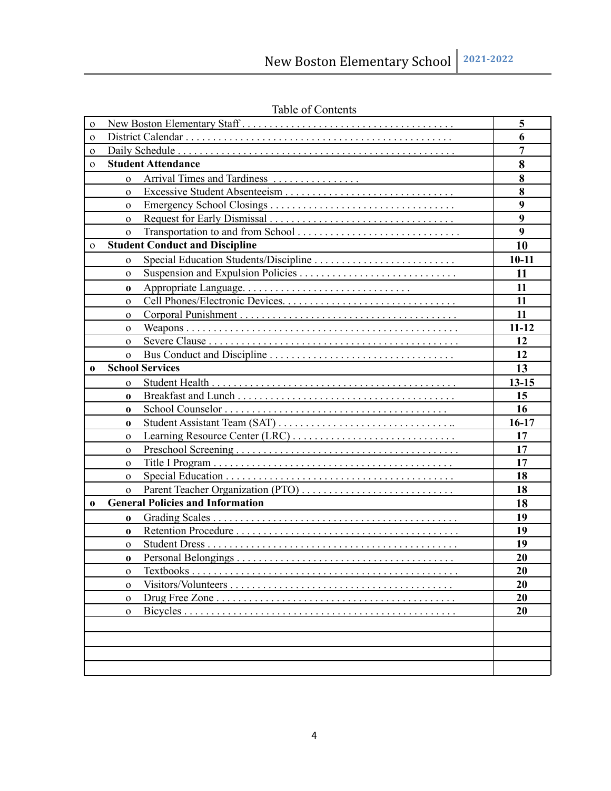| $\mathbf 0$  |                                         |                  |  |  |
|--------------|-----------------------------------------|------------------|--|--|
| $\mathbf{o}$ |                                         |                  |  |  |
| $\mathbf{o}$ |                                         |                  |  |  |
| $\Omega$     | <b>Student Attendance</b>               |                  |  |  |
|              | Arrival Times and Tardiness<br>$\Omega$ |                  |  |  |
|              | $\Omega$                                | 8                |  |  |
|              | $\Omega$                                | 9                |  |  |
|              | $\Omega$                                | $\boldsymbol{9}$ |  |  |
|              | $\mathbf{o}$                            | 9                |  |  |
| $\Omega$     | <b>Student Conduct and Discipline</b>   | 10               |  |  |
|              | $\Omega$                                |                  |  |  |
|              | $\Omega$                                | 11               |  |  |
|              | 0                                       | 11               |  |  |
|              | $\Omega$                                | 11               |  |  |
|              | $\Omega$                                | 11               |  |  |
|              | $\Omega$                                | $11 - 12$        |  |  |
|              | $\Omega$                                | 12               |  |  |
|              | $\Omega$                                | 12               |  |  |
| 0            | <b>School Services</b>                  | 13               |  |  |
|              | $\Omega$                                | $13 - 15$        |  |  |
|              | $\bf{0}$                                | 15               |  |  |
|              | $\bf{0}$                                | 16               |  |  |
|              | $\bf{0}$                                | $16-17$          |  |  |
|              | $\Omega$                                | 17               |  |  |
|              | $\Omega$                                | 17               |  |  |
|              | $\Omega$                                | 17               |  |  |
|              | $\Omega$                                | 18               |  |  |
|              | $\mathbf{o}$                            | 18               |  |  |
| 0            | <b>General Policies and Information</b> | 18               |  |  |
|              | $\bf{0}$                                | 19               |  |  |
|              | $\bf{0}$                                | 19               |  |  |
|              | $\overline{O}$                          | 19               |  |  |
|              | 0                                       | 20               |  |  |
|              | $\Omega$                                | 20               |  |  |
|              | $\Omega$                                | 20               |  |  |
|              | $\mathbf{o}$                            | 20               |  |  |
|              | $\mathbf{o}$                            | 20               |  |  |
|              |                                         |                  |  |  |
|              |                                         |                  |  |  |
|              |                                         |                  |  |  |
|              |                                         |                  |  |  |

Table of Contents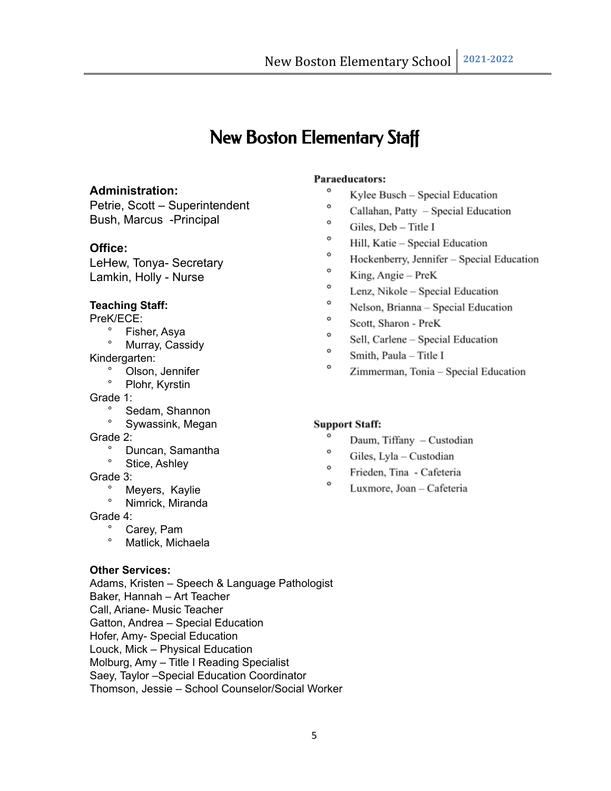## New Boston Elementary Staff

#### **Administration:**

Petrie, Scott – Superintendent Bush, Marcus -Principal

#### **Office:**

LeHew, Tonya- Secretary Lamkin, Holly - Nurse

#### **Teaching Staff:**

PreK/ECE:<br>Fish

- Fisher, Asya
- Murray, Cassidy

Kindergarten:

- ° Olson, Jennifer<br>° Plehr Kurstin
- Plohr, Kyrstin

Grade 1:

- ° Sedam, Shannon
- ° Sywassink, Megan

Grade 2:

- ° Duncan, Samantha
- ° Stice, Ashley

Grade 3:

- Meyers, Kaylie
- ° Nimrick, Miranda

Grade 4:

- Carey, Pam
- ° Matlick, Michaela

#### **Other Services:**

Adams, Kristen – Speech & Language Pathologist Baker, Hannah – Art Teacher Call, Ariane- Music Teacher Gatton, Andrea – Special Education Hofer, Amy- Special Education Louck, Mick – Physical Education Molburg, Amy – Title I Reading Specialist Saey, Taylor –Special Education Coordinator Thomson, Jessie – School Counselor/Social Worker

#### Paraeducators:

- $\circ$ Kylee Busch - Special Education
- $\circ$ Callahan, Patty - Special Education
- $\circ$ Giles. Deb - Title I
- $\circ$ Hill, Katie - Special Education
- $\circ$ Hockenberry, Jennifer - Special Education
- o King, Angie - PreK
- o Lenz, Nikole - Special Education
- o Nelson, Brianna - Special Education
- ۰ Scott, Sharon - PreK
- o Sell, Carlene - Special Education
- $\circ$ Smith, Paula - Title I
- ۰ Zimmerman, Tonia - Special Education

#### **Support Staff:**

- $\circ$ Daum, Tiffany - Custodian
- $\circ$ Giles, Lyla - Custodian
- $\circ$ Frieden, Tina - Cafeteria
- ۰ Luxmore, Joan - Cafeteria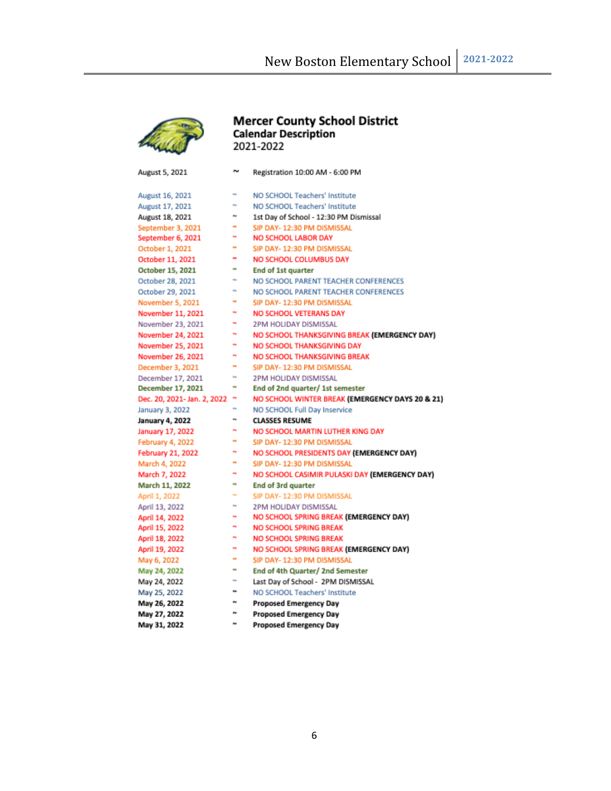

# **Mercer County School District<br>Calendar Description<br>2021-2022**

| August 5, 2021              | w           | Registration 10:00 AM - 6:00 PM                 |
|-----------------------------|-------------|-------------------------------------------------|
| August 16, 2021             | w           | NO SCHOOL Teachers' Institute                   |
| August 17, 2021             | w           | NO SCHOOL Teachers' Institute                   |
| August 18, 2021             | w           | 1st Day of School - 12:30 PM Dismissal          |
| September 3, 2021           | n.          | SIP DAY- 12:30 PM DISMISSAL                     |
| September 6, 2021           | w           | <b>NO SCHOOL LABOR DAY</b>                      |
| October 1, 2021             | w           | SIP DAY- 12:30 PM DISMISSAL                     |
| October 11, 2021            | m           | NO SCHOOL COLUMBUS DAY                          |
| October 15, 2021            | w           | End of 1st quarter                              |
| October 28, 2021            | w           | NO SCHOOL PARENT TEACHER CONFERENCES            |
| October 29, 2021            | w           | NO SCHOOL PARENT TEACHER CONFERENCES            |
| November 5, 2021            | w           | SIP DAY- 12:30 PM DISMISSAL                     |
| November 11, 2021           | n.          | NO SCHOOL VETERANS DAY                          |
| November 23, 2021           | n.          | 2PM HOLIDAY DISMISSAL                           |
| November 24, 2021           | w           | NO SCHOOL THANKSGIVING BREAK (EMERGENCY DAY)    |
| November 25, 2021           | Pat         | NO SCHOOL THANKSGIVING DAY                      |
| November 26, 2021           | Pat.        | <b>NO SCHOOL THANKSGIVING BREAK</b>             |
| December 3, 2021            | n.          | SIP DAY- 12:30 PM DISMISSAL                     |
| December 17, 2021           | $\sim$      | 2PM HOLIDAY DISMISSAL                           |
| December 17, 2021           | ÷           | End of 2nd quarter/ 1st semester                |
| Dec. 20, 2021- Jan. 2, 2022 | w           | NO SCHOOL WINTER BREAK (EMERGENCY DAYS 20 & 21) |
| January 3, 2022             | w           | NO SCHOOL Full Day Inservice                    |
| January 4, 2022             | ÷           | <b>CLASSES RESUME</b>                           |
| January 17, 2022            | w           | NO SCHOOL MARTIN LUTHER KING DAY                |
| February 4, 2022            | w           | SIP DAY- 12:30 PM DISMISSAL                     |
| February 21, 2022           | w           | NO SCHOOL PRESIDENTS DAY (EMERGENCY DAY)        |
| March 4, 2022               | w           | SIP DAY- 12:30 PM DISMISSAL                     |
| March 7, 2022               | w           | NO SCHOOL CASIMIR PULASKI DAY (EMERGENCY DAY)   |
| March 11, 2022              | w           | End of 3rd quarter                              |
| April 1, 2022               | Pat.        | SIP DAY- 12:30 PM DISMISSAL                     |
| April 13, 2022              | $\sim$      | 2PM HOLIDAY DISMISSAL                           |
| April 14, 2022              | w           | NO SCHOOL SPRING BREAK (EMERGENCY DAY)          |
| April 15, 2022              | e.          | <b>NO SCHOOL SPRING BREAK</b>                   |
| April 18, 2022              | w           | NO SCHOOL SPRING BREAK                          |
| April 19, 2022              | w           | NO SCHOOL SPRING BREAK (EMERGENCY DAY)          |
| May 6, 2022                 | w           | SIP DAY- 12:30 PM DISMISSAL                     |
| May 24, 2022                | w           | End of 4th Quarter/ 2nd Semester                |
| May 24, 2022                | $\sim$      | Last Day of School - 2PM DISMISSAL              |
| May 25, 2022                | ÷           | NO SCHOOL Teachers' Institute                   |
| May 26, 2022                | ÷           | <b>Proposed Emergency Day</b>                   |
| May 27, 2022                | $\tilde{r}$ | <b>Proposed Emergency Day</b>                   |
|                             |             |                                                 |

May 31, 2022 ~ Proposed Emergency Day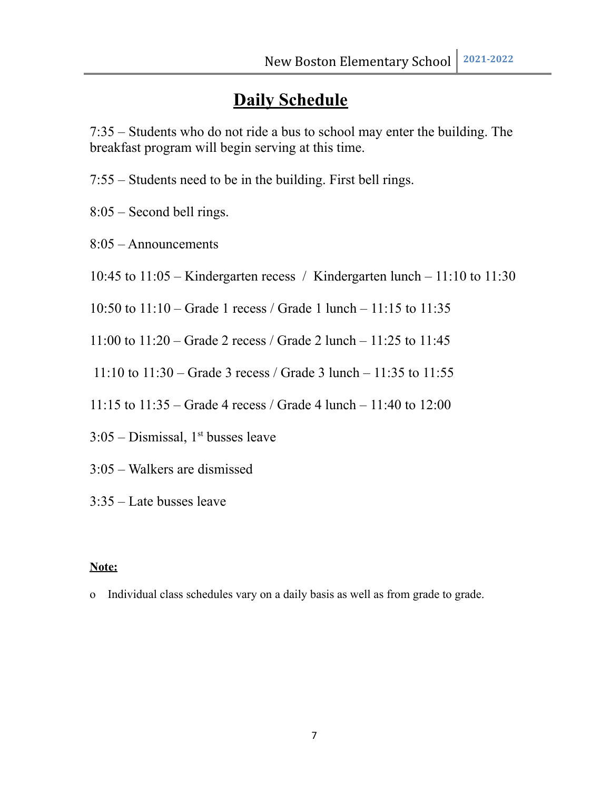## **Daily Schedule**

7:35 – Students who do not ride a bus to school may enter the building. The breakfast program will begin serving at this time.

- 7:55 Students need to be in the building. First bell rings.
- 8:05 Second bell rings.
- 8:05 Announcements
- 10:45 to 11:05 Kindergarten recess / Kindergarten lunch 11:10 to 11:30
- 10:50 to 11:10 Grade 1 recess / Grade 1 lunch 11:15 to 11:35
- 11:00 to 11:20 Grade 2 recess / Grade 2 lunch 11:25 to 11:45
- 11:10 to 11:30 Grade 3 recess / Grade 3 lunch 11:35 to 11:55
- 11:15 to 11:35 Grade 4 recess / Grade 4 lunch 11:40 to 12:00
- $3:05$  Dismissal,  $1<sup>st</sup>$  busses leave
- 3:05 Walkers are dismissed
- 3:35 Late busses leave

#### **Note:**

o Individual class schedules vary on a daily basis as well as from grade to grade.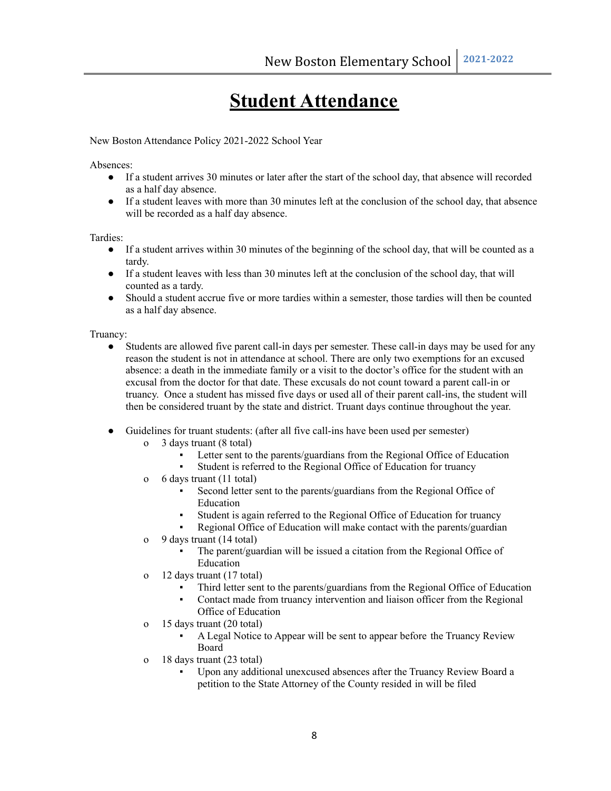## **Student Attendance**

New Boston Attendance Policy 2021-2022 School Year

Absences:

- If a student arrives 30 minutes or later after the start of the school day, that absence will recorded as a half day absence.
- If a student leaves with more than 30 minutes left at the conclusion of the school day, that absence will be recorded as a half day absence.

Tardies:

- If a student arrives within 30 minutes of the beginning of the school day, that will be counted as a tardy.
- If a student leaves with less than 30 minutes left at the conclusion of the school day, that will counted as a tardy.
- Should a student accrue five or more tardies within a semester, those tardies will then be counted as a half day absence.

Truancy:

- Students are allowed five parent call-in days per semester. These call-in days may be used for any reason the student is not in attendance at school. There are only two exemptions for an excused absence: a death in the immediate family or a visit to the doctor's office for the student with an excusal from the doctor for that date. These excusals do not count toward a parent call-in or truancy. Once a student has missed five days or used all of their parent call-ins, the student will then be considered truant by the state and district. Truant days continue throughout the year.
- Guidelines for truant students: (after all five call-ins have been used per semester)
	- o 3 days truant (8 total)
		- Letter sent to the parents/guardians from the Regional Office of Education
		- Student is referred to the Regional Office of Education for truancy
	- o 6 days truant (11 total)
		- Second letter sent to the parents/guardians from the Regional Office of Education
		- Student is again referred to the Regional Office of Education for truancy
		- Regional Office of Education will make contact with the parents/guardian
	- o 9 days truant (14 total)
		- The parent/guardian will be issued a citation from the Regional Office of Education
	- o 12 days truant (17 total)
		- Third letter sent to the parents/guardians from the Regional Office of Education
		- Contact made from truancy intervention and liaison officer from the Regional Office of Education
	- o 15 days truant (20 total)
		- A Legal Notice to Appear will be sent to appear before the Truancy Review Board
	- o 18 days truant (23 total)
		- Upon any additional unexcused absences after the Truancy Review Board a petition to the State Attorney of the County resided in will be filed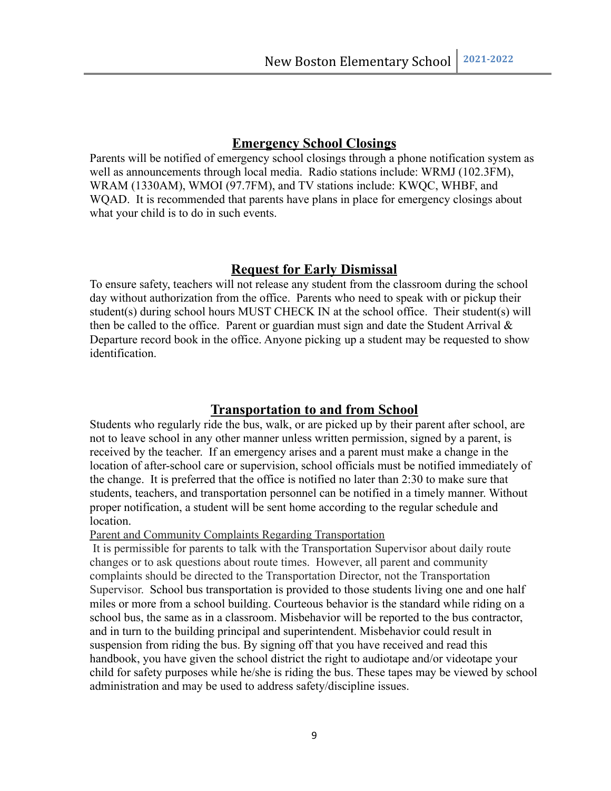#### **Emergency School Closings**

Parents will be notified of emergency school closings through a phone notification system as well as announcements through local media. Radio stations include: WRMJ (102.3FM), WRAM (1330AM), WMOI (97.7FM), and TV stations include: KWQC, WHBF, and WQAD. It is recommended that parents have plans in place for emergency closings about what your child is to do in such events.

#### **Request for Early Dismissal**

To ensure safety, teachers will not release any student from the classroom during the school day without authorization from the office. Parents who need to speak with or pickup their student(s) during school hours MUST CHECK IN at the school office. Their student(s) will then be called to the office. Parent or guardian must sign and date the Student Arrival  $\&$ Departure record book in the office. Anyone picking up a student may be requested to show identification.

#### **Transportation to and from School**

Students who regularly ride the bus, walk, or are picked up by their parent after school, are not to leave school in any other manner unless written permission, signed by a parent, is received by the teacher. If an emergency arises and a parent must make a change in the location of after-school care or supervision, school officials must be notified immediately of the change. It is preferred that the office is notified no later than 2:30 to make sure that students, teachers, and transportation personnel can be notified in a timely manner. Without proper notification, a student will be sent home according to the regular schedule and location.

Parent and Community Complaints Regarding Transportation

It is permissible for parents to talk with the Transportation Supervisor about daily route changes or to ask questions about route times. However, all parent and community complaints should be directed to the Transportation Director, not the Transportation Supervisor. School bus transportation is provided to those students living one and one half miles or more from a school building. Courteous behavior is the standard while riding on a school bus, the same as in a classroom. Misbehavior will be reported to the bus contractor, and in turn to the building principal and superintendent. Misbehavior could result in suspension from riding the bus. By signing off that you have received and read this handbook, you have given the school district the right to audiotape and/or videotape your child for safety purposes while he/she is riding the bus. These tapes may be viewed by school administration and may be used to address safety/discipline issues.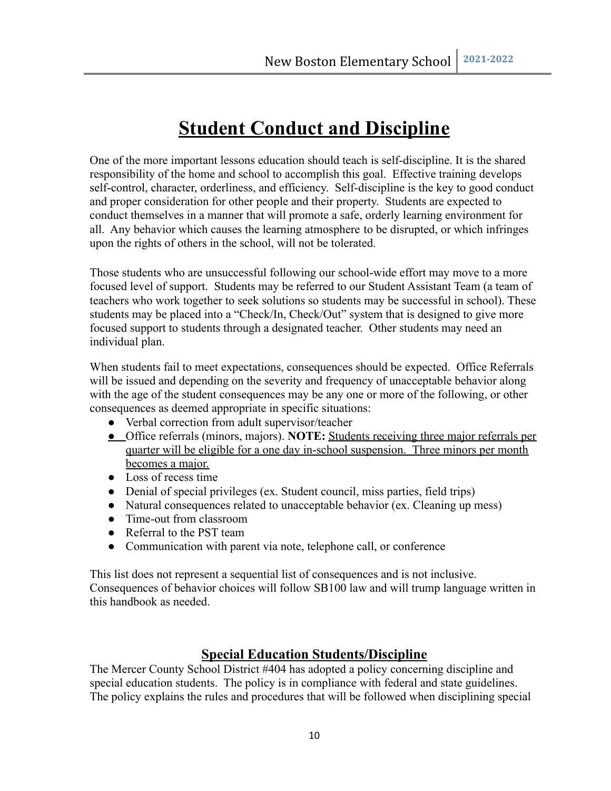## **Student Conduct and Discipline**

One of the more important lessons education should teach is self-discipline. It is the shared responsibility of the home and school to accomplish this goal. Effective training develops self-control, character, orderliness, and efficiency. Self-discipline is the key to good conduct and proper consideration for other people and their property. Students are expected to conduct themselves in a manner that will promote a safe, orderly learning environment for all. Any behavior which causes the learning atmosphere to be disrupted, or which infringes upon the rights of others in the school, will not be tolerated.

Those students who are unsuccessful following our school-wide effort may move to a more focused level of support. Students may be referred to our Student Assistant Team (a team of teachers who work together to seek solutions so students may be successful in school). These students may be placed into a "Check/In, Check/Out" system that is designed to give more focused support to students through a designated teacher. Other students may need an individual plan.

When students fail to meet expectations, consequences should be expected. Office Referrals will be issued and depending on the severity and frequency of unacceptable behavior along with the age of the student consequences may be any one or more of the following, or other consequences as deemed appropriate in specific situations:

- Verbal correction from adult supervisor/teacher
- Office referrals (minors, majors). **NOTE:** Students receiving three major referrals per quarter will be eligible for a one day in-school suspension. Three minors per month becomes a major.
- Loss of recess time
- Denial of special privileges (ex. Student council, miss parties, field trips)
- Natural consequences related to unacceptable behavior (ex. Cleaning up mess)
- Time-out from classroom
- Referral to the PST team
- Communication with parent via note, telephone call, or conference

This list does not represent a sequential list of consequences and is not inclusive. Consequences of behavior choices will follow SB100 law and will trump language written in this handbook as needed.

#### **Special Education Students/Discipline**

The Mercer County School District #404 has adopted a policy concerning discipline and special education students. The policy is in compliance with federal and state guidelines. The policy explains the rules and procedures that will be followed when disciplining special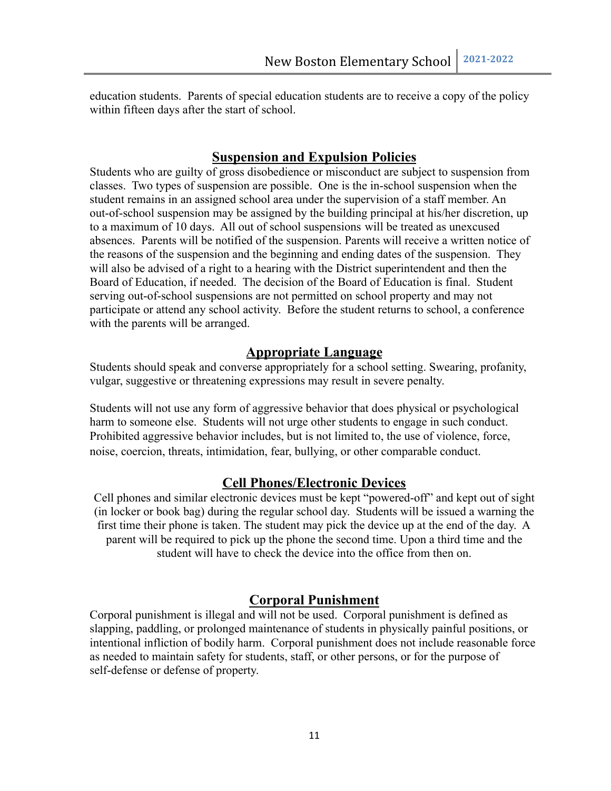education students. Parents of special education students are to receive a copy of the policy within fifteen days after the start of school.

#### **Suspension and Expulsion Policies**

Students who are guilty of gross disobedience or misconduct are subject to suspension from classes. Two types of suspension are possible. One is the in-school suspension when the student remains in an assigned school area under the supervision of a staff member. An out-of-school suspension may be assigned by the building principal at his/her discretion, up to a maximum of 10 days. All out of school suspensions will be treated as unexcused absences. Parents will be notified of the suspension. Parents will receive a written notice of the reasons of the suspension and the beginning and ending dates of the suspension. They will also be advised of a right to a hearing with the District superintendent and then the Board of Education, if needed. The decision of the Board of Education is final. Student serving out-of-school suspensions are not permitted on school property and may not participate or attend any school activity. Before the student returns to school, a conference with the parents will be arranged.

#### **Appropriate Language**

Students should speak and converse appropriately for a school setting. Swearing, profanity, vulgar, suggestive or threatening expressions may result in severe penalty.

Students will not use any form of aggressive behavior that does physical or psychological harm to someone else. Students will not urge other students to engage in such conduct. Prohibited aggressive behavior includes, but is not limited to, the use of violence, force, noise, coercion, threats, intimidation, fear, bullying, or other comparable conduct.

#### **Cell Phones/Electronic Devices**

Cell phones and similar electronic devices must be kept "powered-off" and kept out of sight (in locker or book bag) during the regular school day. Students will be issued a warning the first time their phone is taken. The student may pick the device up at the end of the day. A parent will be required to pick up the phone the second time. Upon a third time and the student will have to check the device into the office from then on.

#### **Corporal Punishment**

Corporal punishment is illegal and will not be used. Corporal punishment is defined as slapping, paddling, or prolonged maintenance of students in physically painful positions, or intentional infliction of bodily harm. Corporal punishment does not include reasonable force as needed to maintain safety for students, staff, or other persons, or for the purpose of self-defense or defense of property.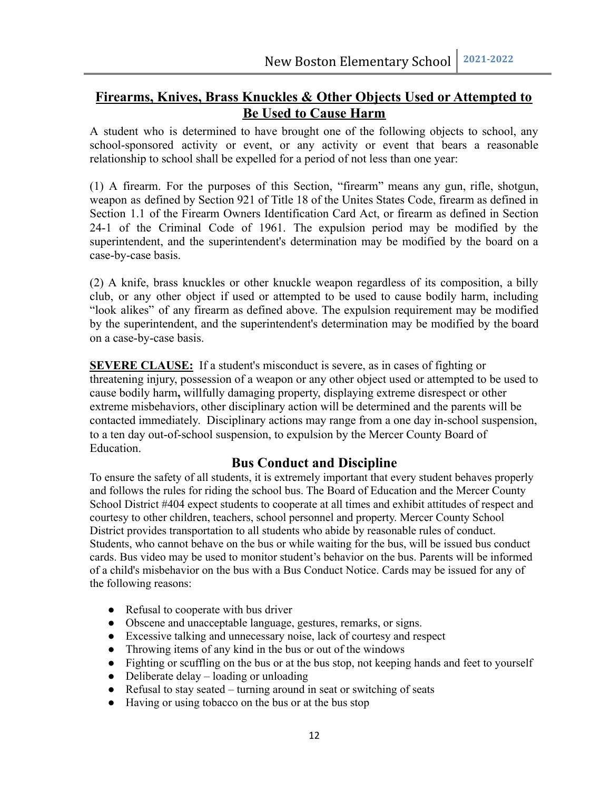#### **Firearms, Knives, Brass Knuckles & Other Objects Used or Attempted to Be Used to Cause Harm**

A student who is determined to have brought one of the following objects to school, any school-sponsored activity or event, or any activity or event that bears a reasonable relationship to school shall be expelled for a period of not less than one year:

(1) A firearm. For the purposes of this Section, "firearm" means any gun, rifle, shotgun, weapon as defined by Section 921 of Title 18 of the Unites States Code, firearm as defined in Section 1.1 of the Firearm Owners Identification Card Act, or firearm as defined in Section 24-1 of the Criminal Code of 1961. The expulsion period may be modified by the superintendent, and the superintendent's determination may be modified by the board on a case-by-case basis.

(2) A knife, brass knuckles or other knuckle weapon regardless of its composition, a billy club, or any other object if used or attempted to be used to cause bodily harm, including "look alikes" of any firearm as defined above. The expulsion requirement may be modified by the superintendent, and the superintendent's determination may be modified by the board on a case-by-case basis.

**SEVERE CLAUSE:** If a student's misconduct is severe, as in cases of fighting or threatening injury, possession of a weapon or any other object used or attempted to be used to cause bodily harm**,** willfully damaging property, displaying extreme disrespect or other extreme misbehaviors, other disciplinary action will be determined and the parents will be contacted immediately. Disciplinary actions may range from a one day in-school suspension, to a ten day out-of-school suspension, to expulsion by the Mercer County Board of Education.

#### **Bus Conduct and Discipline**

To ensure the safety of all students, it is extremely important that every student behaves properly and follows the rules for riding the school bus. The Board of Education and the Mercer County School District #404 expect students to cooperate at all times and exhibit attitudes of respect and courtesy to other children, teachers, school personnel and property. Mercer County School District provides transportation to all students who abide by reasonable rules of conduct. Students, who cannot behave on the bus or while waiting for the bus, will be issued bus conduct cards. Bus video may be used to monitor student's behavior on the bus. Parents will be informed of a child's misbehavior on the bus with a Bus Conduct Notice. Cards may be issued for any of the following reasons:

- Refusal to cooperate with bus driver
- Obscene and unacceptable language, gestures, remarks, or signs.
- Excessive talking and unnecessary noise, lack of courtesy and respect
- Throwing items of any kind in the bus or out of the windows
- Fighting or scuffling on the bus or at the bus stop, not keeping hands and feet to yourself
- $\bullet$  Deliberate delay loading or unloading
- Refusal to stay seated turning around in seat or switching of seats
- Having or using tobacco on the bus or at the bus stop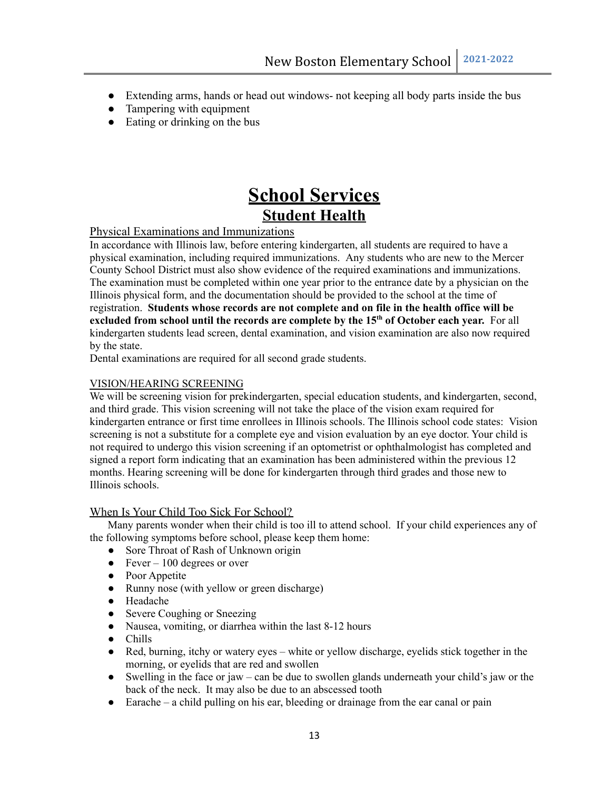- Extending arms, hands or head out windows- not keeping all body parts inside the bus
- Tampering with equipment
- Eating or drinking on the bus

## **School Services Student Health**

#### Physical Examinations and Immunizations

In accordance with Illinois law, before entering kindergarten, all students are required to have a physical examination, including required immunizations. Any students who are new to the Mercer County School District must also show evidence of the required examinations and immunizations. The examination must be completed within one year prior to the entrance date by a physician on the Illinois physical form, and the documentation should be provided to the school at the time of registration. **Students whose records are not complete and on file in the health office will be excluded from school until the records are complete by the 15 th of October each year.** For all kindergarten students lead screen, dental examination, and vision examination are also now required by the state.

Dental examinations are required for all second grade students.

#### VISION/HEARING SCREENING

We will be screening vision for prekindergarten, special education students, and kindergarten, second, and third grade. This vision screening will not take the place of the vision exam required for kindergarten entrance or first time enrollees in Illinois schools. The Illinois school code states: Vision screening is not a substitute for a complete eye and vision evaluation by an eye doctor. Your child is not required to undergo this vision screening if an optometrist or ophthalmologist has completed and signed a report form indicating that an examination has been administered within the previous 12 months. Hearing screening will be done for kindergarten through third grades and those new to Illinois schools.

#### When Is Your Child Too Sick For School?

Many parents wonder when their child is too ill to attend school. If your child experiences any of the following symptoms before school, please keep them home:

- Sore Throat of Rash of Unknown origin
- $\bullet$  Fever 100 degrees or over
- Poor Appetite
- Runny nose (with yellow or green discharge)
- Headache
- Severe Coughing or Sneezing
- Nausea, vomiting, or diarrhea within the last 8-12 hours
- Chills
- Red, burning, itchy or watery eyes white or yellow discharge, eyelids stick together in the morning, or eyelids that are red and swollen
- Swelling in the face or jaw can be due to swollen glands underneath your child's jaw or the back of the neck. It may also be due to an abscessed tooth
- Earache a child pulling on his ear, bleeding or drainage from the ear canal or pain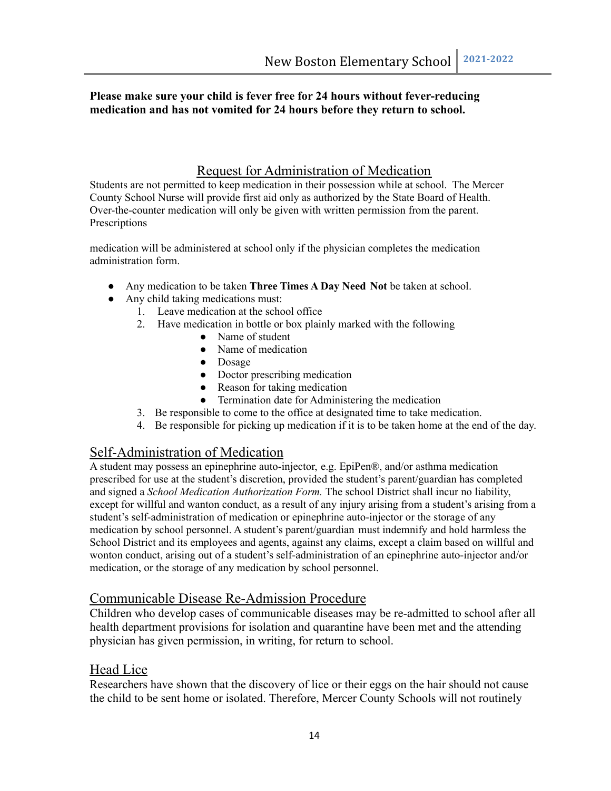#### **Please make sure your child is fever free for 24 hours without fever-reducing medication and has not vomited for 24 hours before they return to school.**

#### Request for Administration of Medication

Students are not permitted to keep medication in their possession while at school. The Mercer County School Nurse will provide first aid only as authorized by the State Board of Health. Over-the-counter medication will only be given with written permission from the parent. **Prescriptions** 

medication will be administered at school only if the physician completes the medication administration form.

- Any medication to be taken **Three Times A Day Need Not** be taken at school.
- Any child taking medications must:
	- 1. Leave medication at the school office
	- 2. Have medication in bottle or box plainly marked with the following
		- Name of student
		- Name of medication
		- Dosage
		- Doctor prescribing medication
		- Reason for taking medication
		- Termination date for Administering the medication
	- 3. Be responsible to come to the office at designated time to take medication.
	- 4. Be responsible for picking up medication if it is to be taken home at the end of the day.

#### Self-Administration of Medication

A student may possess an epinephrine auto-injector, e.g. EpiPen®, and/or asthma medication prescribed for use at the student's discretion, provided the student's parent/guardian has completed and signed a *School Medication Authorization Form.* The school District shall incur no liability, except for willful and wanton conduct, as a result of any injury arising from a student's arising from a student's self-administration of medication or epinephrine auto-injector or the storage of any medication by school personnel. A student's parent/guardian must indemnify and hold harmless the School District and its employees and agents, against any claims, except a claim based on willful and wonton conduct, arising out of a student's self-administration of an epinephrine auto-injector and/or medication, or the storage of any medication by school personnel.

#### Communicable Disease Re-Admission Procedure

Children who develop cases of communicable diseases may be re-admitted to school after all health department provisions for isolation and quarantine have been met and the attending physician has given permission, in writing, for return to school.

#### Head Lice

Researchers have shown that the discovery of lice or their eggs on the hair should not cause the child to be sent home or isolated. Therefore, Mercer County Schools will not routinely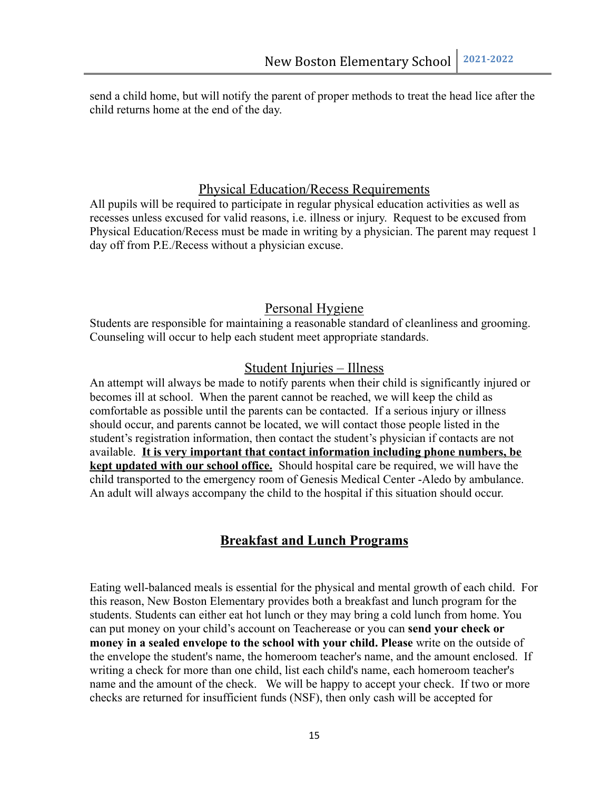send a child home, but will notify the parent of proper methods to treat the head lice after the child returns home at the end of the day.

#### Physical Education/Recess Requirements

All pupils will be required to participate in regular physical education activities as well as recesses unless excused for valid reasons, i.e. illness or injury. Request to be excused from Physical Education/Recess must be made in writing by a physician. The parent may request 1 day off from P.E./Recess without a physician excuse.

#### Personal Hygiene

Students are responsible for maintaining a reasonable standard of cleanliness and grooming. Counseling will occur to help each student meet appropriate standards.

#### Student Injuries – Illness

An attempt will always be made to notify parents when their child is significantly injured or becomes ill at school. When the parent cannot be reached, we will keep the child as comfortable as possible until the parents can be contacted. If a serious injury or illness should occur, and parents cannot be located, we will contact those people listed in the student's registration information, then contact the student's physician if contacts are not available. **It is very important that contact information including phone numbers, be kept updated with our school office.** Should hospital care be required, we will have the child transported to the emergency room of Genesis Medical Center -Aledo by ambulance. An adult will always accompany the child to the hospital if this situation should occur.

#### **Breakfast and Lunch Programs**

Eating well-balanced meals is essential for the physical and mental growth of each child. For this reason, New Boston Elementary provides both a breakfast and lunch program for the students. Students can either eat hot lunch or they may bring a cold lunch from home. You can put money on your child's account on Teacherease or you can **send your check or money in a sealed envelope to the school with your child. Please** write on the outside of the envelope the student's name, the homeroom teacher's name, and the amount enclosed. If writing a check for more than one child, list each child's name, each homeroom teacher's name and the amount of the check. We will be happy to accept your check. If two or more checks are returned for insufficient funds (NSF), then only cash will be accepted for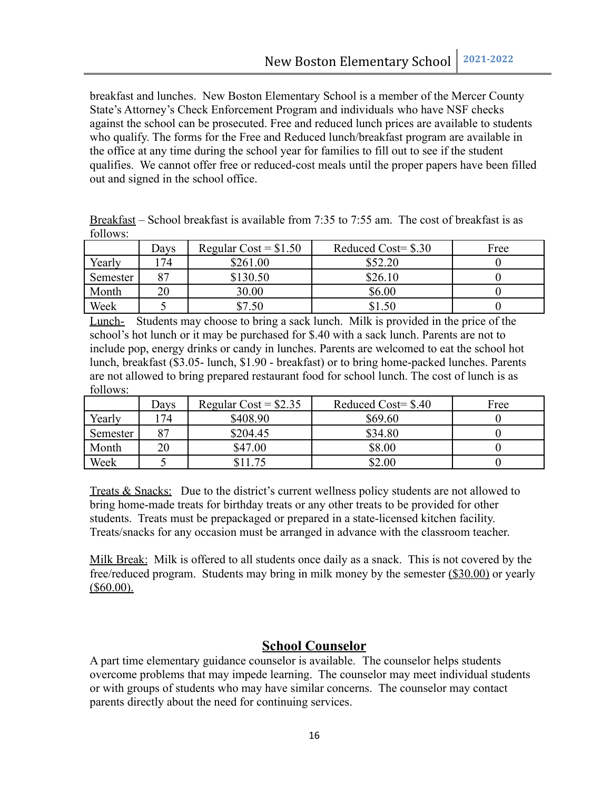breakfast and lunches. New Boston Elementary School is a member of the Mercer County State's Attorney's Check Enforcement Program and individuals who have NSF checks against the school can be prosecuted. Free and reduced lunch prices are available to students who qualify. The forms for the Free and Reduced lunch/breakfast program are available in the office at any time during the school year for families to fill out to see if the student qualifies. We cannot offer free or reduced-cost meals until the proper papers have been filled out and signed in the school office.

| Breakfast – School breakfast is available from 7:35 to 7:55 am. The cost of breakfast is as |  |                             |                       |  |      |  |
|---------------------------------------------------------------------------------------------|--|-----------------------------|-----------------------|--|------|--|
| follows:                                                                                    |  |                             |                       |  |      |  |
|                                                                                             |  | Days Regular Cost = $$1.50$ | Reduced Cost= $\$.30$ |  | Free |  |

Ē

|          | Davs | Regular $Cost = $1.50$ | Reduced Cost= $\$.30$ | Free |
|----------|------|------------------------|-----------------------|------|
| Yearly   | .74  | \$261.00               | \$52.20               |      |
| Semester | 87   | \$130.50               | \$26.10               |      |
| Month    | 20   | 30.00                  | \$6.00                |      |
| Week     |      | \$7.50                 | \$1.50                |      |

Lunch- Students may choose to bring a sack lunch. Milk is provided in the price of the school's hot lunch or it may be purchased for \$.40 with a sack lunch. Parents are not to include pop, energy drinks or candy in lunches. Parents are welcomed to eat the school hot lunch, breakfast (\$3.05- lunch, \$1.90 - breakfast) or to bring home-packed lunches. Parents are not allowed to bring prepared restaurant food for school lunch. The cost of lunch is as follows:

|          | Days | Regular Cost = $$2.35$ | Reduced Cost= $$.40$ | Free |
|----------|------|------------------------|----------------------|------|
| Yearly   | 174  | \$408.90               | \$69.60              |      |
| Semester | 87   | \$204.45               | \$34.80              |      |
| Month    | 20   | \$47.00                | \$8.00               |      |
| Week     |      | 75                     | \$2.00               |      |

Treats & Snacks: Due to the district's current wellness policy students are not allowed to bring home-made treats for birthday treats or any other treats to be provided for other students. Treats must be prepackaged or prepared in a state-licensed kitchen facility. Treats/snacks for any occasion must be arranged in advance with the classroom teacher.

Milk Break: Milk is offered to all students once daily as a snack. This is not covered by the free/reduced program. Students may bring in milk money by the semester (\$30.00) or yearly  $($ \$60.00).

#### **School Counselor**

A part time elementary guidance counselor is available. The counselor helps students overcome problems that may impede learning. The counselor may meet individual students or with groups of students who may have similar concerns. The counselor may contact parents directly about the need for continuing services.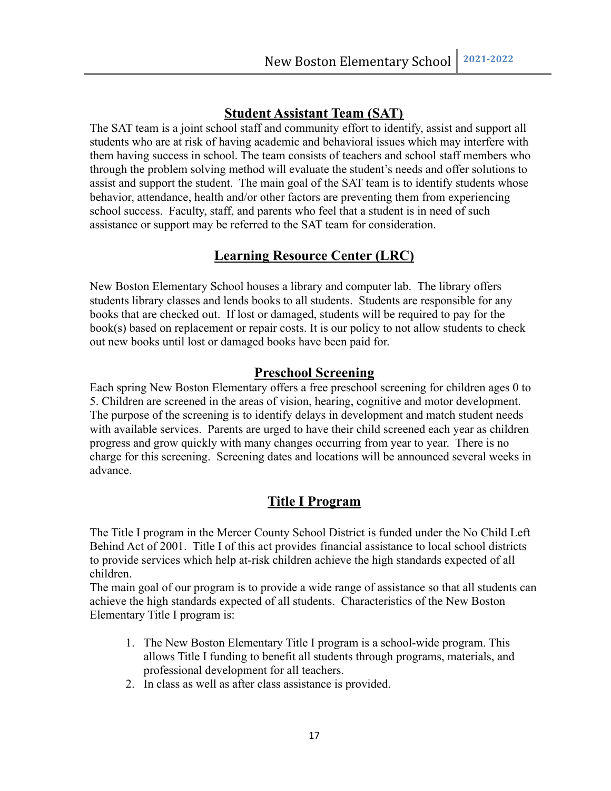#### **Student Assistant Team (SAT)**

The SAT team is a joint school staff and community effort to identify, assist and support all students who are at risk of having academic and behavioral issues which may interfere with them having success in school. The team consists of teachers and school staff members who through the problem solving method will evaluate the student's needs and offer solutions to assist and support the student. The main goal of the SAT team is to identify students whose behavior, attendance, health and/or other factors are preventing them from experiencing school success. Faculty, staff, and parents who feel that a student is in need of such assistance or support may be referred to the SAT team for consideration.

#### **Learning Resource Center (LRC)**

New Boston Elementary School houses a library and computer lab. The library offers students library classes and lends books to all students. Students are responsible for any books that are checked out. If lost or damaged, students will be required to pay for the book(s) based on replacement or repair costs. It is our policy to not allow students to check out new books until lost or damaged books have been paid for.

#### **Preschool Screening**

Each spring New Boston Elementary offers a free preschool screening for children ages 0 to 5. Children are screened in the areas of vision, hearing, cognitive and motor development. The purpose of the screening is to identify delays in development and match student needs with available services. Parents are urged to have their child screened each year as children progress and grow quickly with many changes occurring from year to year. There is no charge for this screening. Screening dates and locations will be announced several weeks in advance.

#### **Title I Program**

The Title I program in the Mercer County School District is funded under the No Child Left Behind Act of 2001. Title I of this act provides financial assistance to local school districts to provide services which help at-risk children achieve the high standards expected of all children.

The main goal of our program is to provide a wide range of assistance so that all students can achieve the high standards expected of all students. Characteristics of the New Boston Elementary Title I program is:

- 1. The New Boston Elementary Title I program is a school-wide program. This allows Title I funding to benefit all students through programs, materials, and professional development for all teachers.
- 2. In class as well as after class assistance is provided.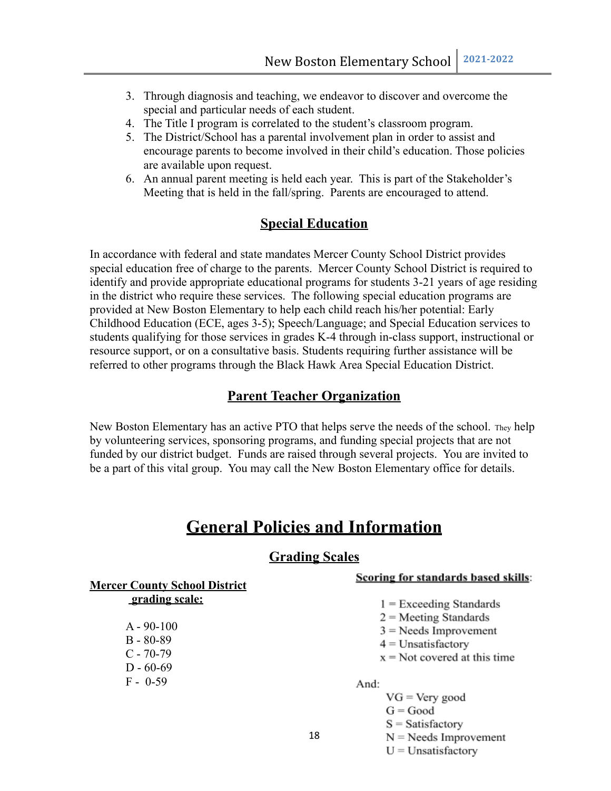- 3. Through diagnosis and teaching, we endeavor to discover and overcome the special and particular needs of each student.
- 4. The Title I program is correlated to the student's classroom program.
- 5. The District/School has a parental involvement plan in order to assist and encourage parents to become involved in their child's education. Those policies are available upon request.
- 6. An annual parent meeting is held each year. This is part of the Stakeholder's Meeting that is held in the fall/spring. Parents are encouraged to attend.

#### **Special Education**

In accordance with federal and state mandates Mercer County School District provides special education free of charge to the parents. Mercer County School District is required to identify and provide appropriate educational programs for students 3-21 years of age residing in the district who require these services. The following special education programs are provided at New Boston Elementary to help each child reach his/her potential: Early Childhood Education (ECE, ages 3-5); Speech/Language; and Special Education services to students qualifying for those services in grades K-4 through in-class support, instructional or resource support, or on a consultative basis. Students requiring further assistance will be referred to other programs through the Black Hawk Area Special Education District.

#### **Parent Teacher Organization**

New Boston Elementary has an active PTO that helps serve the needs of the school. They help by volunteering services, sponsoring programs, and funding special projects that are not funded by our district budget. Funds are raised through several projects. You are invited to be a part of this vital group. You may call the New Boston Elementary office for details.

### **General Policies and Information**

#### **Grading Scales**

**Mercer County School District grading scale:**

> A - 90-100 B - 80-89  $C - 70-79$  $D - 60-69$  $F - 0.59$

#### Scoring for standards based skills:

- $1 =$  Exceeding Standards
- $2$  = Meeting Standards
- $3$  = Needs Improvement
- $4$  = Unsatisfactory
- $x = Not covered$  at this time

And:

- $VG = Very good$  $G = Good$  $S = Satisfactory$  $N =$ Needs Improvement
	- $U =$ Unsatisfactory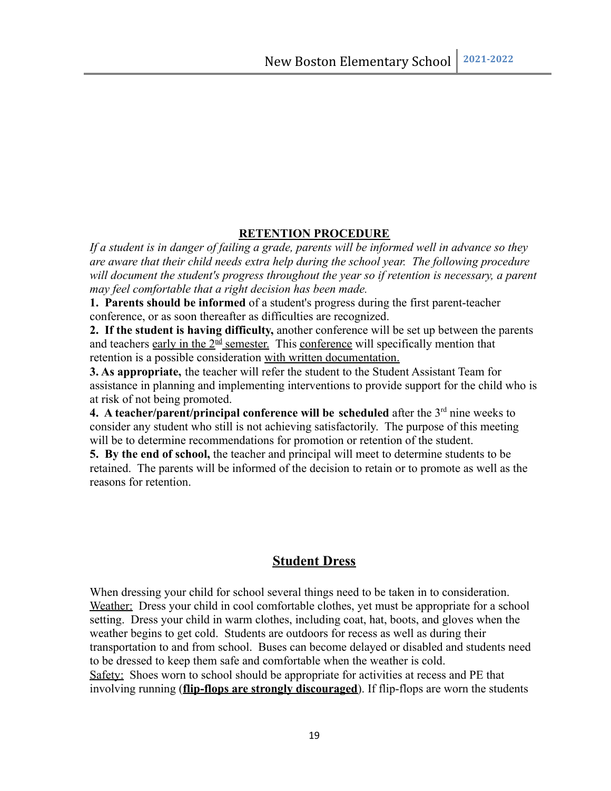#### **RETENTION PROCEDURE**

*If a student is in danger of failing a grade, parents will be informed well in advance so they are aware that their child needs extra help during the school year. The following procedure will document the student's progress throughout the year so if retention is necessary, a parent may feel comfortable that a right decision has been made.*

**1. Parents should be informed** of a student's progress during the first parent-teacher conference, or as soon thereafter as difficulties are recognized.

**2. If the student is having difficulty,** another conference will be set up between the parents and teachers early in the  $2<sup>nd</sup>$  semester. This conference will specifically mention that retention is a possible consideration with written documentation.

**3. As appropriate,** the teacher will refer the student to the Student Assistant Team for assistance in planning and implementing interventions to provide support for the child who is at risk of not being promoted.

**4.** A teacher/parent/principal conference will be scheduled after the  $3<sup>rd</sup>$  nine weeks to consider any student who still is not achieving satisfactorily. The purpose of this meeting will be to determine recommendations for promotion or retention of the student.

**5. By the end of school,** the teacher and principal will meet to determine students to be retained. The parents will be informed of the decision to retain or to promote as well as the reasons for retention.

#### **Student Dress**

When dressing your child for school several things need to be taken in to consideration. Weather: Dress your child in cool comfortable clothes, yet must be appropriate for a school setting. Dress your child in warm clothes, including coat, hat, boots, and gloves when the weather begins to get cold. Students are outdoors for recess as well as during their transportation to and from school. Buses can become delayed or disabled and students need to be dressed to keep them safe and comfortable when the weather is cold. Safety: Shoes worn to school should be appropriate for activities at recess and PE that involving running (**flip-flops are strongly discouraged**). If flip-flops are worn the students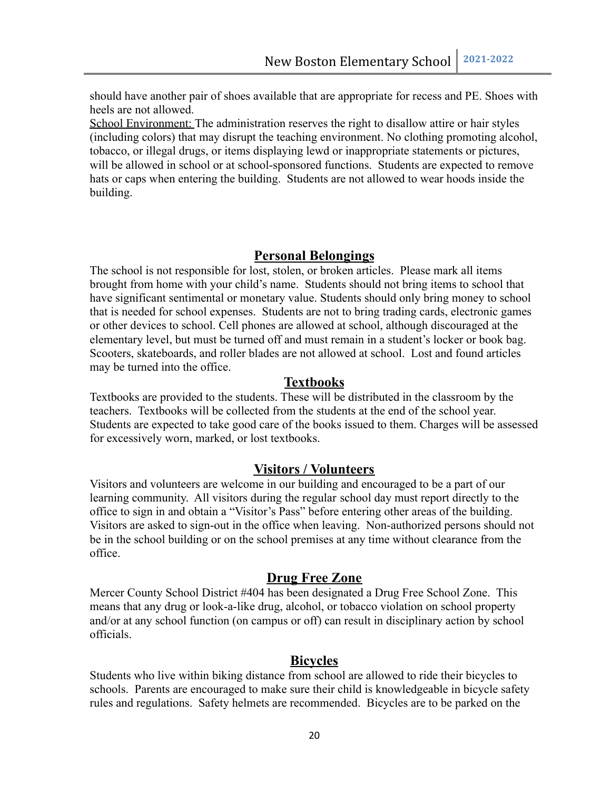should have another pair of shoes available that are appropriate for recess and PE. Shoes with heels are not allowed.

School Environment: The administration reserves the right to disallow attire or hair styles (including colors) that may disrupt the teaching environment. No clothing promoting alcohol, tobacco, or illegal drugs, or items displaying lewd or inappropriate statements or pictures, will be allowed in school or at school-sponsored functions. Students are expected to remove hats or caps when entering the building. Students are not allowed to wear hoods inside the building.

#### **Personal Belongings**

The school is not responsible for lost, stolen, or broken articles. Please mark all items brought from home with your child's name. Students should not bring items to school that have significant sentimental or monetary value. Students should only bring money to school that is needed for school expenses. Students are not to bring trading cards, electronic games or other devices to school. Cell phones are allowed at school, although discouraged at the elementary level, but must be turned off and must remain in a student's locker or book bag. Scooters, skateboards, and roller blades are not allowed at school. Lost and found articles may be turned into the office.

#### **Textbooks**

Textbooks are provided to the students. These will be distributed in the classroom by the teachers. Textbooks will be collected from the students at the end of the school year. Students are expected to take good care of the books issued to them. Charges will be assessed for excessively worn, marked, or lost textbooks.

#### **Visitors / Volunteers**

Visitors and volunteers are welcome in our building and encouraged to be a part of our learning community. All visitors during the regular school day must report directly to the office to sign in and obtain a "Visitor's Pass" before entering other areas of the building. Visitors are asked to sign-out in the office when leaving. Non-authorized persons should not be in the school building or on the school premises at any time without clearance from the office.

#### **Drug Free Zone**

Mercer County School District #404 has been designated a Drug Free School Zone. This means that any drug or look-a-like drug, alcohol, or tobacco violation on school property and/or at any school function (on campus or off) can result in disciplinary action by school officials.

#### **Bicycles**

Students who live within biking distance from school are allowed to ride their bicycles to schools. Parents are encouraged to make sure their child is knowledgeable in bicycle safety rules and regulations. Safety helmets are recommended. Bicycles are to be parked on the